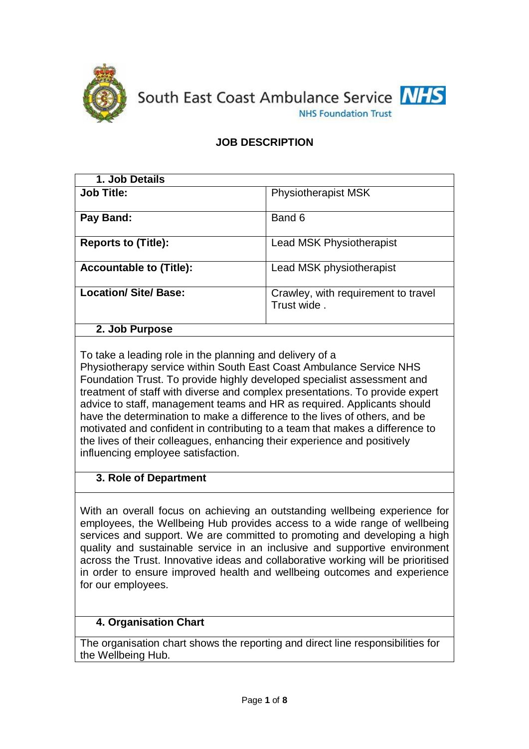

South East Coast Ambulance Service NHS **NHS Foundation Trust** 

# **JOB DESCRIPTION**

| 1. Job Details                 |                                                    |
|--------------------------------|----------------------------------------------------|
| <b>Job Title:</b>              | <b>Physiotherapist MSK</b>                         |
| Pay Band:                      | Band 6                                             |
| <b>Reports to (Title):</b>     | <b>Lead MSK Physiotherapist</b>                    |
| <b>Accountable to (Title):</b> | Lead MSK physiotherapist                           |
| <b>Location/ Site/ Base:</b>   | Crawley, with requirement to travel<br>Trust wide. |
| 2. Job Purpose                 |                                                    |

To take a leading role in the planning and delivery of a Physiotherapy service within South East Coast Ambulance Service NHS Foundation Trust. To provide highly developed specialist assessment and treatment of staff with diverse and complex presentations. To provide expert advice to staff, management teams and HR as required. Applicants should have the determination to make a difference to the lives of others, and be motivated and confident in contributing to a team that makes a difference to the lives of their colleagues, enhancing their experience and positively influencing employee satisfaction.

## **3. Role of Department**

With an overall focus on achieving an outstanding wellbeing experience for employees, the Wellbeing Hub provides access to a wide range of wellbeing services and support. We are committed to promoting and developing a high quality and sustainable service in an inclusive and supportive environment across the Trust. Innovative ideas and collaborative working will be prioritised in order to ensure improved health and wellbeing outcomes and experience for our employees.

## **4. Organisation Chart**

The organisation chart shows the reporting and direct line responsibilities for the Wellbeing Hub.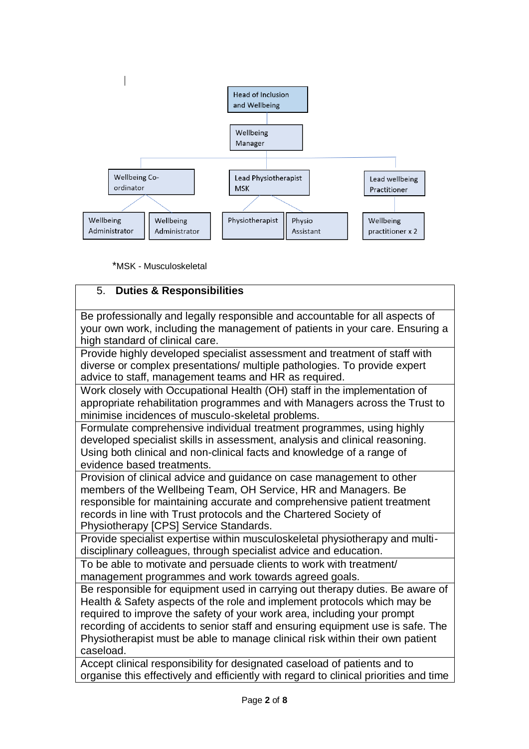

\*MSK - Musculoskeletal

### 5. **Duties & Responsibilities**

Be professionally and legally responsible and accountable for all aspects of your own work, including the management of patients in your care. Ensuring a high standard of clinical care.

Provide highly developed specialist assessment and treatment of staff with diverse or complex presentations/ multiple pathologies. To provide expert advice to staff, management teams and HR as required.

Work closely with Occupational Health (OH) staff in the implementation of appropriate rehabilitation programmes and with Managers across the Trust to minimise incidences of musculo-skeletal problems.

Formulate comprehensive individual treatment programmes, using highly developed specialist skills in assessment, analysis and clinical reasoning. Using both clinical and non-clinical facts and knowledge of a range of evidence based treatments.

Provision of clinical advice and guidance on case management to other members of the Wellbeing Team, OH Service, HR and Managers. Be responsible for maintaining accurate and comprehensive patient treatment records in line with Trust protocols and the Chartered Society of Physiotherapy [CPS] Service Standards.

Provide specialist expertise within musculoskeletal physiotherapy and multidisciplinary colleagues, through specialist advice and education.

To be able to motivate and persuade clients to work with treatment/ management programmes and work towards agreed goals.

Be responsible for equipment used in carrying out therapy duties. Be aware of Health & Safety aspects of the role and implement protocols which may be required to improve the safety of your work area, including your prompt recording of accidents to senior staff and ensuring equipment use is safe. The Physiotherapist must be able to manage clinical risk within their own patient caseload.

Accept clinical responsibility for designated caseload of patients and to organise this effectively and efficiently with regard to clinical priorities and time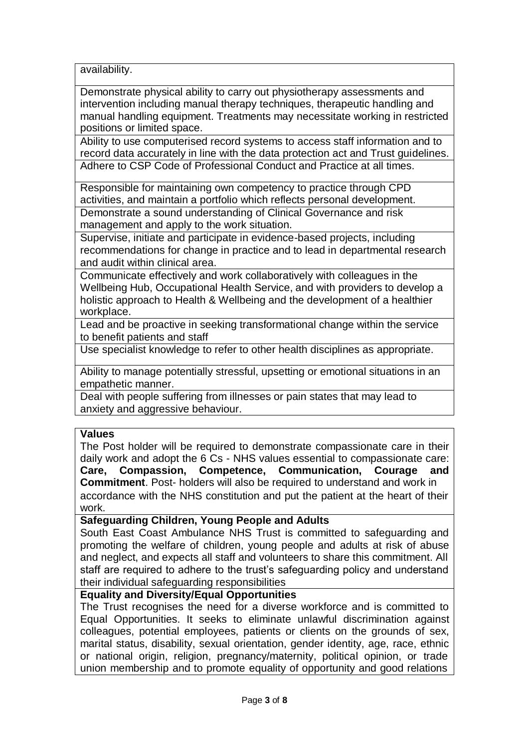availability.

Demonstrate physical ability to carry out physiotherapy assessments and intervention including manual therapy techniques, therapeutic handling and manual handling equipment. Treatments may necessitate working in restricted positions or limited space.

Ability to use computerised record systems to access staff information and to record data accurately in line with the data protection act and Trust guidelines. Adhere to CSP Code of Professional Conduct and Practice at all times.

Responsible for maintaining own competency to practice through CPD activities, and maintain a portfolio which reflects personal development. Demonstrate a sound understanding of Clinical Governance and risk management and apply to the work situation.

Supervise, initiate and participate in evidence-based projects, including recommendations for change in practice and to lead in departmental research and audit within clinical area.

Communicate effectively and work collaboratively with colleagues in the Wellbeing Hub, Occupational Health Service, and with providers to develop a holistic approach to Health & Wellbeing and the development of a healthier workplace.

Lead and be proactive in seeking transformational change within the service to benefit patients and staff

Use specialist knowledge to refer to other health disciplines as appropriate.

Ability to manage potentially stressful, upsetting or emotional situations in an empathetic manner.

Deal with people suffering from illnesses or pain states that may lead to anxiety and aggressive behaviour.

#### **Values**

The Post holder will be required to demonstrate compassionate care in their daily work and adopt the 6 Cs - NHS values essential to compassionate care: **Care, Compassion, Competence, Communication, Courage and Commitment**. Post- holders will also be required to understand and work in accordance with the NHS constitution and put the patient at the heart of their work.

#### **Safeguarding Children, Young People and Adults**

South East Coast Ambulance NHS Trust is committed to safeguarding and promoting the welfare of children, young people and adults at risk of abuse and neglect, and expects all staff and volunteers to share this commitment. All staff are required to adhere to the trust's safeguarding policy and understand their individual safeguarding responsibilities

#### **Equality and Diversity/Equal Opportunities**

The Trust recognises the need for a diverse workforce and is committed to Equal Opportunities. It seeks to eliminate unlawful discrimination against colleagues, potential employees, patients or clients on the grounds of sex, marital status, disability, sexual orientation, gender identity, age, race, ethnic or national origin, religion, pregnancy/maternity, political opinion, or trade union membership and to promote equality of opportunity and good relations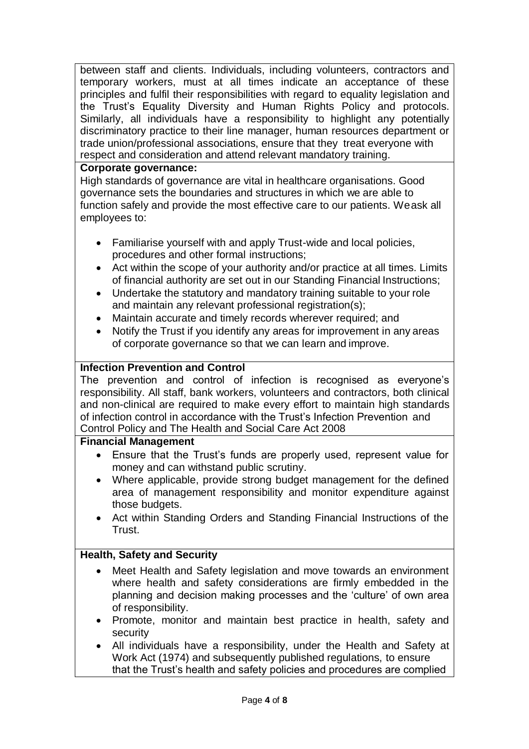between staff and clients. Individuals, including volunteers, contractors and temporary workers, must at all times indicate an acceptance of these principles and fulfil their responsibilities with regard to equality legislation and the Trust's Equality Diversity and Human Rights Policy and protocols. Similarly, all individuals have a responsibility to highlight any potentially discriminatory practice to their line manager, human resources department or trade union/professional associations, ensure that they treat everyone with respect and consideration and attend relevant mandatory training.

## **Corporate governance:**

High standards of governance are vital in healthcare organisations. Good governance sets the boundaries and structures in which we are able to function safely and provide the most effective care to our patients. Weask all employees to:

- Familiarise yourself with and apply Trust-wide and local policies, procedures and other formal instructions;
- Act within the scope of your authority and/or practice at all times. Limits of financial authority are set out in our Standing Financial Instructions;
- Undertake the statutory and mandatory training suitable to your role and maintain any relevant professional registration(s);
- Maintain accurate and timely records wherever required; and
- Notify the Trust if you identify any areas for improvement in any areas of corporate governance so that we can learn and improve.

## **Infection Prevention and Control**

The prevention and control of infection is recognised as everyone's responsibility. All staff, bank workers, volunteers and contractors, both clinical and non-clinical are required to make every effort to maintain high standards of infection control in accordance with the Trust's Infection Prevention and Control Policy and The Health and Social Care Act 2008

## **Financial Management**

- Ensure that the Trust's funds are properly used, represent value for money and can withstand public scrutiny.
- Where applicable, provide strong budget management for the defined area of management responsibility and monitor expenditure against those budgets.
- Act within Standing Orders and Standing Financial Instructions of the Trust.

## **Health, Safety and Security**

- Meet Health and Safety legislation and move towards an environment where health and safety considerations are firmly embedded in the planning and decision making processes and the 'culture' of own area of responsibility.
- Promote, monitor and maintain best practice in health, safety and security
- All individuals have a responsibility, under the Health and Safety at Work Act (1974) and subsequently published regulations, to ensure that the Trust's health and safety policies and procedures are complied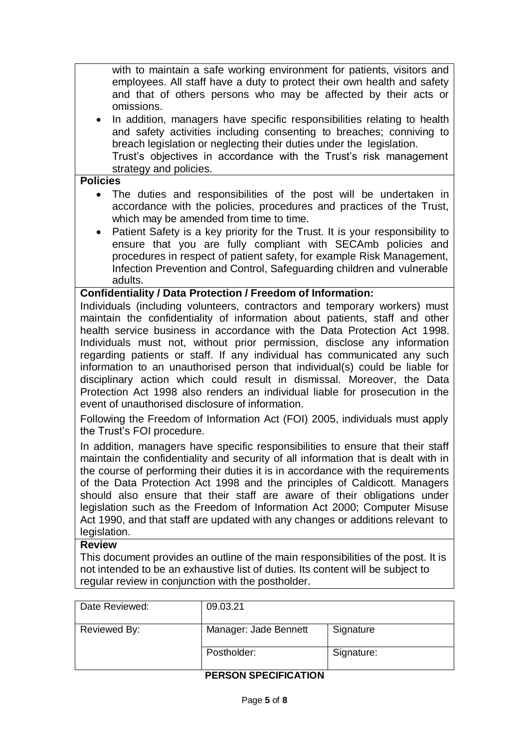with to maintain a safe working environment for patients, visitors and employees. All staff have a duty to protect their own health and safety and that of others persons who may be affected by their acts or omissions.

 In addition, managers have specific responsibilities relating to health and safety activities including consenting to breaches; conniving to breach legislation or neglecting their duties under the legislation. Trust's objectives in accordance with the Trust's risk management strategy and policies.

#### **Policies**

- The duties and responsibilities of the post will be undertaken in accordance with the policies, procedures and practices of the Trust, which may be amended from time to time.
- Patient Safety is a key priority for the Trust. It is your responsibility to ensure that you are fully compliant with SECAmb policies and procedures in respect of patient safety, for example Risk Management, Infection Prevention and Control, Safeguarding children and vulnerable adults.

### **Confidentiality / Data Protection / Freedom of Information:**

Individuals (including volunteers, contractors and temporary workers) must maintain the confidentiality of information about patients, staff and other health service business in accordance with the Data Protection Act 1998. Individuals must not, without prior permission, disclose any information regarding patients or staff. If any individual has communicated any such information to an unauthorised person that individual(s) could be liable for disciplinary action which could result in dismissal. Moreover, the Data Protection Act 1998 also renders an individual liable for prosecution in the event of unauthorised disclosure of information.

Following the Freedom of Information Act (FOI) 2005, individuals must apply the Trust's FOI procedure.

In addition, managers have specific responsibilities to ensure that their staff maintain the confidentiality and security of all information that is dealt with in the course of performing their duties it is in accordance with the requirements of the Data Protection Act 1998 and the principles of Caldicott. Managers should also ensure that their staff are aware of their obligations under legislation such as the Freedom of Information Act 2000; Computer Misuse Act 1990, and that staff are updated with any changes or additions relevant to legislation.

#### **Review**

This document provides an outline of the main responsibilities of the post. It is not intended to be an exhaustive list of duties. Its content will be subject to regular review in conjunction with the postholder.

| Date Reviewed: | 09.03.21              |            |
|----------------|-----------------------|------------|
| Reviewed By:   | Manager: Jade Bennett | Signature  |
|                | Postholder:           | Signature: |

#### **PERSON SPECIFICATION**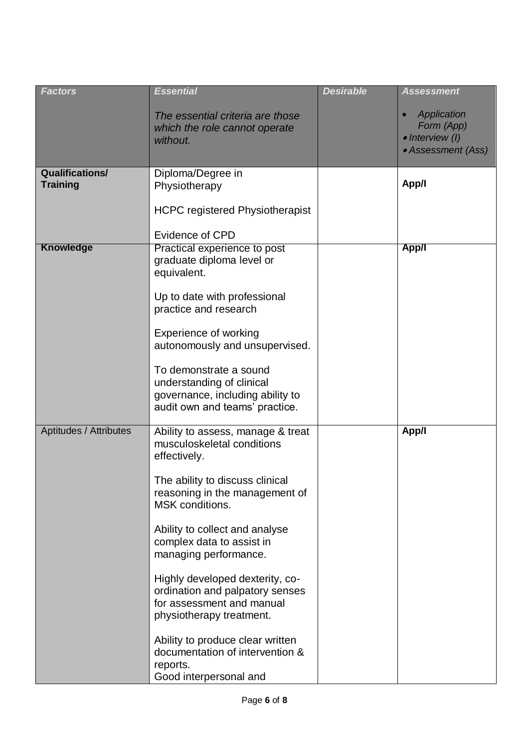| <b>Factors</b>                            | <b>Essential</b>                                                                                                            | <b>Desirable</b> | <b>Assessment</b>                                                  |
|-------------------------------------------|-----------------------------------------------------------------------------------------------------------------------------|------------------|--------------------------------------------------------------------|
|                                           | The essential criteria are those<br>which the role cannot operate<br>without.                                               |                  | Application<br>Form (App)<br>· Interview (I)<br>• Assessment (Ass) |
| <b>Qualifications/</b><br><b>Training</b> | Diploma/Degree in                                                                                                           |                  | App/I                                                              |
|                                           | Physiotherapy                                                                                                               |                  |                                                                    |
|                                           | <b>HCPC registered Physiotherapist</b>                                                                                      |                  |                                                                    |
|                                           | <b>Evidence of CPD</b>                                                                                                      |                  |                                                                    |
| <b>Knowledge</b>                          | Practical experience to post<br>graduate diploma level or<br>equivalent.                                                    |                  | <b>App/I</b>                                                       |
|                                           | Up to date with professional<br>practice and research                                                                       |                  |                                                                    |
|                                           | Experience of working<br>autonomously and unsupervised.                                                                     |                  |                                                                    |
|                                           | To demonstrate a sound<br>understanding of clinical                                                                         |                  |                                                                    |
|                                           | governance, including ability to<br>audit own and teams' practice.                                                          |                  |                                                                    |
| Aptitudes / Attributes                    | Ability to assess, manage & treat<br>musculoskeletal conditions<br>effectively.                                             |                  | App/I                                                              |
|                                           | The ability to discuss clinical<br>reasoning in the management of<br>MSK conditions.                                        |                  |                                                                    |
|                                           | Ability to collect and analyse<br>complex data to assist in<br>managing performance.                                        |                  |                                                                    |
|                                           | Highly developed dexterity, co-<br>ordination and palpatory senses<br>for assessment and manual<br>physiotherapy treatment. |                  |                                                                    |
|                                           | Ability to produce clear written<br>documentation of intervention &<br>reports.<br>Good interpersonal and                   |                  |                                                                    |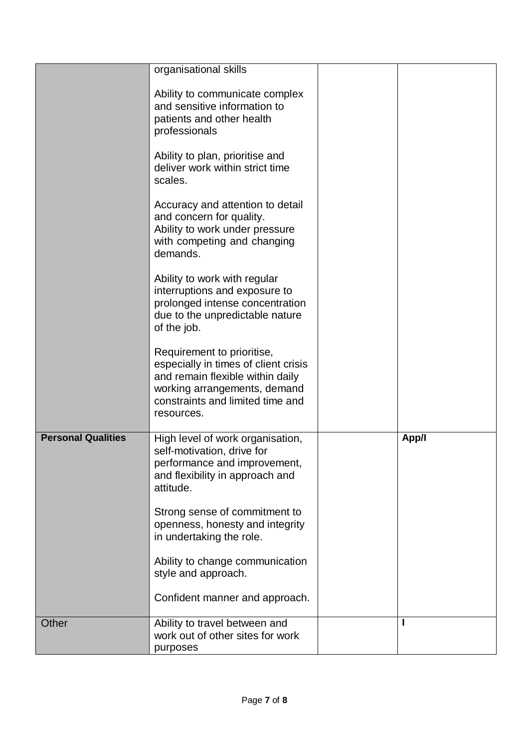|                           | organisational skills                                                                                                                                                                    |       |
|---------------------------|------------------------------------------------------------------------------------------------------------------------------------------------------------------------------------------|-------|
|                           | Ability to communicate complex<br>and sensitive information to<br>patients and other health<br>professionals                                                                             |       |
|                           | Ability to plan, prioritise and<br>deliver work within strict time<br>scales.                                                                                                            |       |
|                           | Accuracy and attention to detail<br>and concern for quality.<br>Ability to work under pressure<br>with competing and changing<br>demands.                                                |       |
|                           | Ability to work with regular<br>interruptions and exposure to<br>prolonged intense concentration<br>due to the unpredictable nature<br>of the job.                                       |       |
|                           | Requirement to prioritise,<br>especially in times of client crisis<br>and remain flexible within daily<br>working arrangements, demand<br>constraints and limited time and<br>resources. |       |
| <b>Personal Qualities</b> | High level of work organisation,<br>self-motivation, drive for<br>performance and improvement,<br>and flexibility in approach and<br>attitude.                                           | App/I |
|                           | Strong sense of commitment to<br>openness, honesty and integrity<br>in undertaking the role.                                                                                             |       |
|                           | Ability to change communication<br>style and approach.                                                                                                                                   |       |
|                           | Confident manner and approach.                                                                                                                                                           |       |
| Other                     | Ability to travel between and<br>work out of other sites for work<br>purposes                                                                                                            |       |